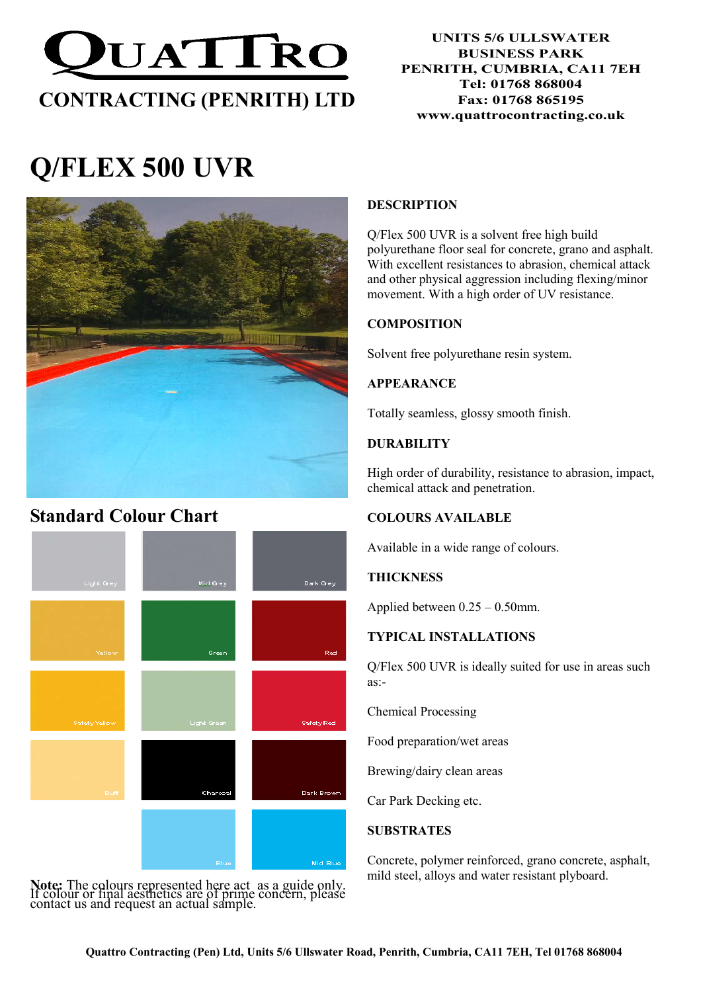

# Q/FLEX 500 UVR



### Standard Colour Chart



Note: The colours represented here act as a guide only. If colour or final aesthetics are of prime concern, please contact us and request an actual sample.

#### **DESCRIPTION**

Q/Flex 500 UVR is a solvent free high build polyurethane floor seal for concrete, grano and asphalt. With excellent resistances to abrasion, chemical attack and other physical aggression including flexing/minor movement. With a high order of UV resistance.

#### **COMPOSITION**

Solvent free polyurethane resin system.

#### APPEARANCE

Totally seamless, glossy smooth finish.

#### DURABILITY

High order of durability, resistance to abrasion, impact, chemical attack and penetration.

#### COLOURS AVAILABLE

Available in a wide range of colours.

#### **THICKNESS**

Applied between 0.25 – 0.50mm.

#### TYPICAL INSTALLATIONS

Q/Flex 500 UVR is ideally suited for use in areas such as:-

Chemical Processing

Food preparation/wet areas

Brewing/dairy clean areas

Car Park Decking etc.

#### **SUBSTRATES**

Concrete, polymer reinforced, grano concrete, asphalt, mild steel, alloys and water resistant plyboard.